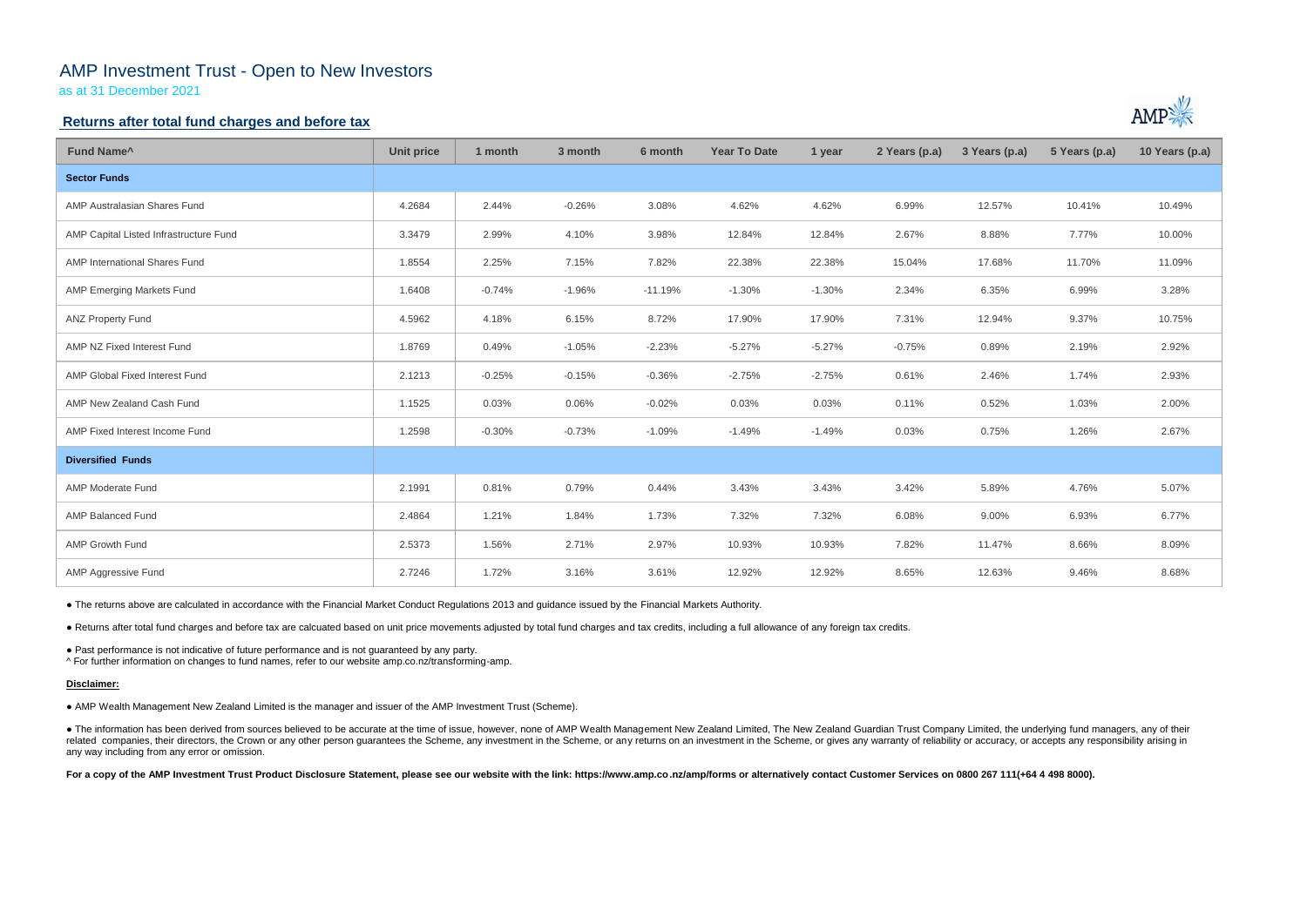# AMP Investment Trust - Open to New Investors

as at 31 December 2021

### **Returns after total fund charges and before tax**

| Fund Name <sup>^</sup>                 | <b>Unit price</b> | 1 month  | 3 month  | 6 month   | <b>Year To Date</b> | 1 year   | 2 Years (p.a) | 3 Years (p.a) | 5 Years (p.a) | 10 Years (p.a) |
|----------------------------------------|-------------------|----------|----------|-----------|---------------------|----------|---------------|---------------|---------------|----------------|
| <b>Sector Funds</b>                    |                   |          |          |           |                     |          |               |               |               |                |
| AMP Australasian Shares Fund           | 4.2684            | 2.44%    | $-0.26%$ | 3.08%     | 4.62%               | 4.62%    | 6.99%         | 12.57%        | 10.41%        | 10.49%         |
| AMP Capital Listed Infrastructure Fund | 3.3479            | 2.99%    | 4.10%    | 3.98%     | 12.84%              | 12.84%   | 2.67%         | 8.88%         | 7.77%         | 10.00%         |
| AMP International Shares Fund          | 1.8554            | 2.25%    | 7.15%    | 7.82%     | 22.38%              | 22.38%   | 15.04%        | 17.68%        | 11.70%        | 11.09%         |
| AMP Emerging Markets Fund              | 1.6408            | $-0.74%$ | $-1.96%$ | $-11.19%$ | $-1.30%$            | $-1.30%$ | 2.34%         | 6.35%         | 6.99%         | 3.28%          |
| <b>ANZ Property Fund</b>               | 4.5962            | 4.18%    | 6.15%    | 8.72%     | 17.90%              | 17.90%   | 7.31%         | 12.94%        | 9.37%         | 10.75%         |
| AMP NZ Fixed Interest Fund             | 1.8769            | 0.49%    | $-1.05%$ | $-2.23%$  | $-5.27%$            | $-5.27%$ | $-0.75%$      | 0.89%         | 2.19%         | 2.92%          |
| AMP Global Fixed Interest Fund         | 2.1213            | $-0.25%$ | $-0.15%$ | $-0.36%$  | $-2.75%$            | $-2.75%$ | 0.61%         | 2.46%         | 1.74%         | 2.93%          |
| AMP New Zealand Cash Fund              | 1.1525            | 0.03%    | 0.06%    | $-0.02%$  | 0.03%               | 0.03%    | 0.11%         | 0.52%         | 1.03%         | 2.00%          |
| AMP Fixed Interest Income Fund         | 1.2598            | $-0.30%$ | $-0.73%$ | $-1.09%$  | $-1.49%$            | $-1.49%$ | 0.03%         | 0.75%         | 1.26%         | 2.67%          |
| <b>Diversified Funds</b>               |                   |          |          |           |                     |          |               |               |               |                |
| <b>AMP Moderate Fund</b>               | 2.1991            | 0.81%    | 0.79%    | 0.44%     | 3.43%               | 3.43%    | 3.42%         | 5.89%         | 4.76%         | 5.07%          |
| <b>AMP Balanced Fund</b>               | 2.4864            | 1.21%    | 1.84%    | 1.73%     | 7.32%               | 7.32%    | 6.08%         | 9.00%         | 6.93%         | 6.77%          |
| AMP Growth Fund                        | 2.5373            | 1.56%    | 2.71%    | 2.97%     | 10.93%              | 10.93%   | 7.82%         | 11.47%        | 8.66%         | 8.09%          |
| AMP Aggressive Fund                    | 2.7246            | 1.72%    | 3.16%    | 3.61%     | 12.92%              | 12.92%   | 8.65%         | 12.63%        | 9.46%         | 8.68%          |

• The information has been derived from sources believed to be accurate at the time of issue, however, none of AMP Wealth Management New Zealand Limited, The New Zealand Guardian Trust Company Limited, the underlying fund related companies, their directors, the Crown or any other person guarantees the Scheme, any investment in the Scheme, or any returns on an investment in the Scheme, or gives any warranty of reliability or accuracy, or acc any way including from any error or omission.

● The returns above are calculated in accordance with the Financial Market Conduct Regulations 2013 and guidance issued by the Financial Markets Authority.

● Returns after total fund charges and before tax are calcuated based on unit price movements adjusted by total fund charges and tax credits, including a full allowance of any foreign tax credits.

● Past performance is not indicative of future performance and is not guaranteed by any party.

^ For further information on changes to fund names, refer to our website amp.co.nz/transforming-amp.

#### **Disclaimer:**

● AMP Wealth Management New Zealand Limited is the manager and issuer of the AMP Investment Trust (Scheme).

**For a copy of the AMP Investment Trust Product Disclosure Statement, please see our website with the link: https://www.amp.co.nz/amp/forms or alternatively contact Customer Services on 0800 267 111(+64 4 498 8000).**